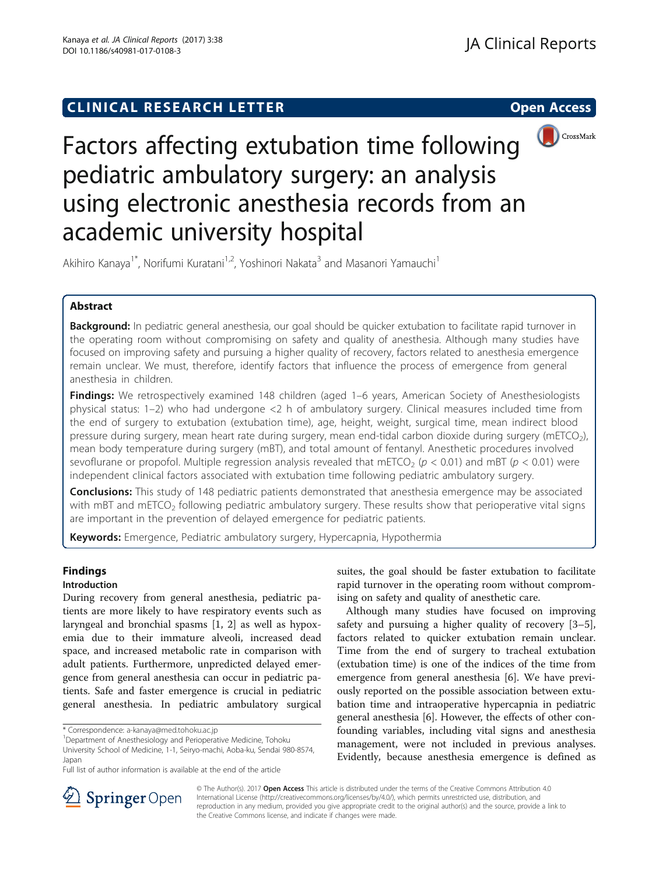# **CLINICAL RESEARCH LETTER CLINICAL RESEARCH LETTER Open Access**



Factors affecting extubation time following pediatric ambulatory surgery: an analysis using electronic anesthesia records from an academic university hospital

Akihiro Kanaya<sup>1\*</sup>, Norifumi Kuratani<sup>1,2</sup>, Yoshinori Nakata<sup>3</sup> and Masanori Yamauchi<sup>1</sup>

# Abstract

Background: In pediatric general anesthesia, our goal should be quicker extubation to facilitate rapid turnover in the operating room without compromising on safety and quality of anesthesia. Although many studies have focused on improving safety and pursuing a higher quality of recovery, factors related to anesthesia emergence remain unclear. We must, therefore, identify factors that influence the process of emergence from general anesthesia in children.

Findings: We retrospectively examined 148 children (aged 1–6 years, American Society of Anesthesiologists physical status: 1–2) who had undergone <2 h of ambulatory surgery. Clinical measures included time from the end of surgery to extubation (extubation time), age, height, weight, surgical time, mean indirect blood pressure during surgery, mean heart rate during surgery, mean end-tidal carbon dioxide during surgery (mETCO<sub>2</sub>), mean body temperature during surgery (mBT), and total amount of fentanyl. Anesthetic procedures involved sevoflurane or propofol. Multiple regression analysis revealed that mETCO<sub>2</sub> ( $p < 0.01$ ) and mBT ( $p < 0.01$ ) were independent clinical factors associated with extubation time following pediatric ambulatory surgery.

**Conclusions:** This study of 148 pediatric patients demonstrated that anesthesia emergence may be associated with mBT and mETCO<sub>2</sub> following pediatric ambulatory surgery. These results show that perioperative vital signs are important in the prevention of delayed emergence for pediatric patients.

Keywords: Emergence, Pediatric ambulatory surgery, Hypercapnia, Hypothermia

# Findings

# Introduction

During recovery from general anesthesia, pediatric patients are more likely to have respiratory events such as laryngeal and bronchial spasms [[1, 2\]](#page-2-0) as well as hypoxemia due to their immature alveoli, increased dead space, and increased metabolic rate in comparison with adult patients. Furthermore, unpredicted delayed emergence from general anesthesia can occur in pediatric patients. Safe and faster emergence is crucial in pediatric general anesthesia. In pediatric ambulatory surgical

suites, the goal should be faster extubation to facilitate rapid turnover in the operating room without compromising on safety and quality of anesthetic care.

Although many studies have focused on improving safety and pursuing a higher quality of recovery [\[3](#page-2-0)–[5](#page-3-0)], factors related to quicker extubation remain unclear. Time from the end of surgery to tracheal extubation (extubation time) is one of the indices of the time from emergence from general anesthesia [\[6](#page-3-0)]. We have previously reported on the possible association between extubation time and intraoperative hypercapnia in pediatric general anesthesia [\[6\]](#page-3-0). However, the effects of other confounding variables, including vital signs and anesthesia management, were not included in previous analyses. Evidently, because anesthesia emergence is defined as



© The Author(s). 2017 **Open Access** This article is distributed under the terms of the Creative Commons Attribution 4.0 International License ([http://creativecommons.org/licenses/by/4.0/\)](http://creativecommons.org/licenses/by/4.0/), which permits unrestricted use, distribution, and reproduction in any medium, provided you give appropriate credit to the original author(s) and the source, provide a link to the Creative Commons license, and indicate if changes were made.

<sup>\*</sup> Correspondence: [a-kanaya@med.tohoku.ac.jp](mailto:a-kanaya@med.tohoku.ac.jp) <sup>1</sup>

<sup>&</sup>lt;sup>1</sup>Department of Anesthesiology and Perioperative Medicine, Tohoku University School of Medicine, 1-1, Seiryo-machi, Aoba-ku, Sendai 980-8574, Japan

Full list of author information is available at the end of the article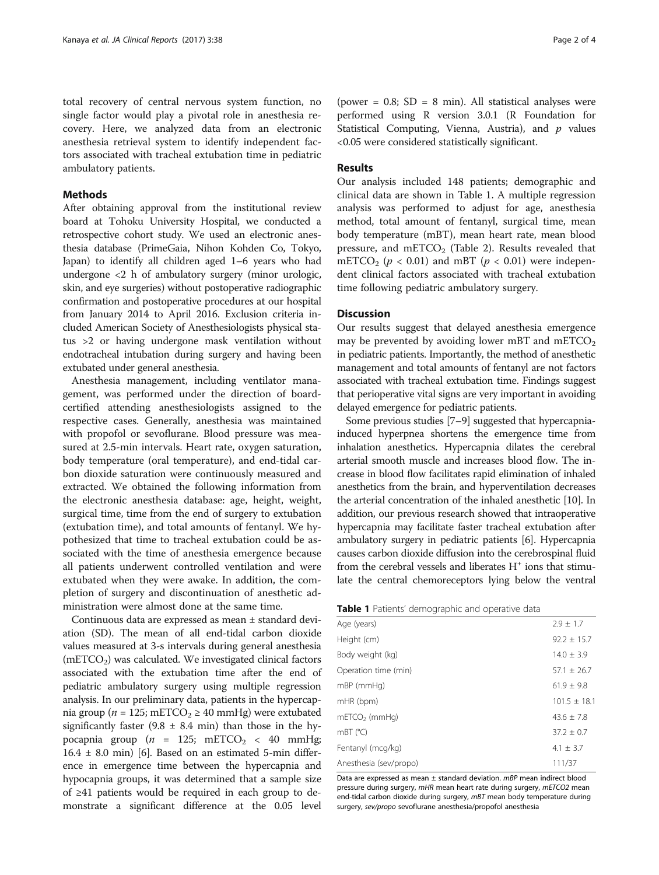total recovery of central nervous system function, no single factor would play a pivotal role in anesthesia recovery. Here, we analyzed data from an electronic anesthesia retrieval system to identify independent factors associated with tracheal extubation time in pediatric ambulatory patients.

## Methods

After obtaining approval from the institutional review board at Tohoku University Hospital, we conducted a retrospective cohort study. We used an electronic anesthesia database (PrimeGaia, Nihon Kohden Co, Tokyo, Japan) to identify all children aged 1–6 years who had undergone <2 h of ambulatory surgery (minor urologic, skin, and eye surgeries) without postoperative radiographic confirmation and postoperative procedures at our hospital from January 2014 to April 2016. Exclusion criteria included American Society of Anesthesiologists physical status >2 or having undergone mask ventilation without endotracheal intubation during surgery and having been extubated under general anesthesia.

Anesthesia management, including ventilator management, was performed under the direction of boardcertified attending anesthesiologists assigned to the respective cases. Generally, anesthesia was maintained with propofol or sevoflurane. Blood pressure was measured at 2.5-min intervals. Heart rate, oxygen saturation, body temperature (oral temperature), and end-tidal carbon dioxide saturation were continuously measured and extracted. We obtained the following information from the electronic anesthesia database: age, height, weight, surgical time, time from the end of surgery to extubation (extubation time), and total amounts of fentanyl. We hypothesized that time to tracheal extubation could be associated with the time of anesthesia emergence because all patients underwent controlled ventilation and were extubated when they were awake. In addition, the completion of surgery and discontinuation of anesthetic administration were almost done at the same time.

Continuous data are expressed as mean ± standard deviation (SD). The mean of all end-tidal carbon dioxide values measured at 3-s intervals during general anesthesia  $(mETCO<sub>2</sub>)$  was calculated. We investigated clinical factors associated with the extubation time after the end of pediatric ambulatory surgery using multiple regression analysis. In our preliminary data, patients in the hypercapnia group ( $n = 125$ ; mETCO<sub>2</sub>  $\geq$  40 mmHg) were extubated significantly faster  $(9.8 \pm 8.4 \text{ min})$  than those in the hypocapnia group ( $n = 125$ ; mETCO<sub>2</sub> < 40 mmHg;  $16.4 \pm 8.0$  $16.4 \pm 8.0$  $16.4 \pm 8.0$  min) [6]. Based on an estimated 5-min difference in emergence time between the hypercapnia and hypocapnia groups, it was determined that a sample size of ≥41 patients would be required in each group to demonstrate a significant difference at the 0.05 level

(power =  $0.8$ ; SD = 8 min). All statistical analyses were performed using R version 3.0.1 (R Foundation for Statistical Computing, Vienna, Austria), and  $p$  values <0.05 were considered statistically significant.

## Results

Our analysis included 148 patients; demographic and clinical data are shown in Table 1. A multiple regression analysis was performed to adjust for age, anesthesia method, total amount of fentanyl, surgical time, mean body temperature (mBT), mean heart rate, mean blood pressure, and mETCO<sub>2</sub> (Table [2\)](#page-2-0). Results revealed that mETCO<sub>2</sub> ( $p < 0.01$ ) and mBT ( $p < 0.01$ ) were independent clinical factors associated with tracheal extubation time following pediatric ambulatory surgery.

### **Discussion**

Our results suggest that delayed anesthesia emergence may be prevented by avoiding lower mBT and mETCO<sub>2</sub> in pediatric patients. Importantly, the method of anesthetic management and total amounts of fentanyl are not factors associated with tracheal extubation time. Findings suggest that perioperative vital signs are very important in avoiding delayed emergence for pediatric patients.

Some previous studies [[7](#page-3-0)–[9](#page-3-0)] suggested that hypercapniainduced hyperpnea shortens the emergence time from inhalation anesthetics. Hypercapnia dilates the cerebral arterial smooth muscle and increases blood flow. The increase in blood flow facilitates rapid elimination of inhaled anesthetics from the brain, and hyperventilation decreases the arterial concentration of the inhaled anesthetic [\[10](#page-3-0)]. In addition, our previous research showed that intraoperative hypercapnia may facilitate faster tracheal extubation after ambulatory surgery in pediatric patients [[6](#page-3-0)]. Hypercapnia causes carbon dioxide diffusion into the cerebrospinal fluid from the cerebral vessels and liberates  $H^+$  ions that stimulate the central chemoreceptors lying below the ventral

| Age (years)            | $2.9 \pm 1.7$    |
|------------------------|------------------|
| Height (cm)            | $92.2 \pm 15.7$  |
| Body weight (kg)       | $14.0 \pm 3.9$   |
| Operation time (min)   | $57.1 \pm 26.7$  |
| mBP (mmHg)             | $61.9 + 9.8$     |
| mHR (bpm)              | $101.5 \pm 18.1$ |
| $mETCO2$ (mmHq)        | $43.6 + 7.8$     |
| $mBT$ ( $°C$ )         | $37.2 \pm 0.7$   |
| Fentanyl (mcg/kg)      | $4.1 \pm 3.7$    |
| Anesthesia (sev/propo) | 111/37           |
|                        |                  |

Data are expressed as mean ± standard deviation. mBP mean indirect blood pressure during surgery, mHR mean heart rate during surgery, mETCO2 mean end-tidal carbon dioxide during surgery, mBT mean body temperature during surgery, sev/propo sevoflurane anesthesia/propofol anesthesia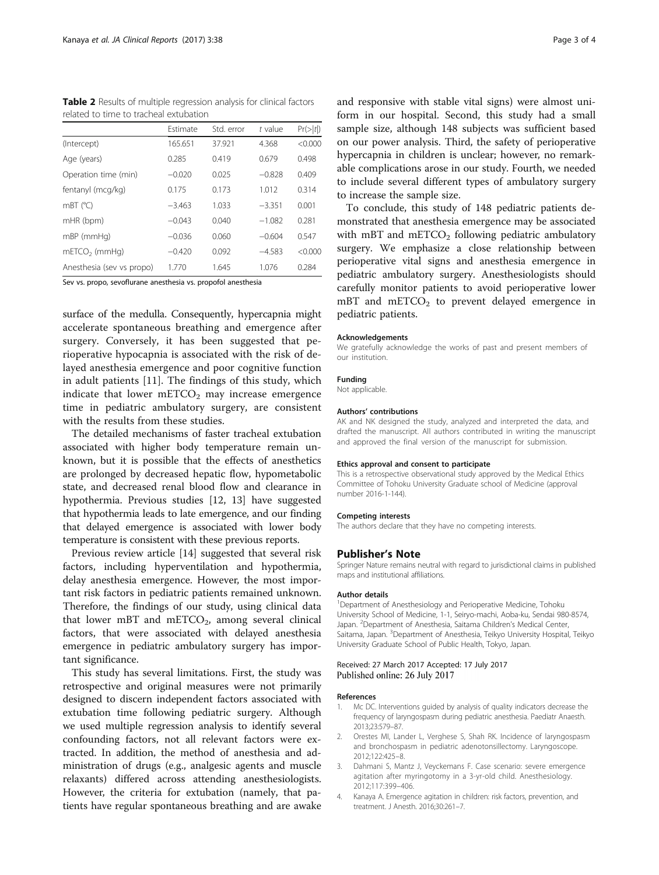<span id="page-2-0"></span>Table 2 Results of multiple regression analysis for clinical factors related to time to tracheal extubation

|                           | Estimate | Std. error | t value  | Pr(> t ) |
|---------------------------|----------|------------|----------|----------|
| (Intercept)               | 165.651  | 37.921     | 4.368    | < 0.000  |
| Age (years)               | 0.285    | 0.419      | 0.679    | 0.498    |
| Operation time (min)      | $-0.020$ | 0.025      | $-0.828$ | 0.409    |
| fentanyl (mcg/kg)         | 0.175    | 0.173      | 1.012    | 0.314    |
| $mBT$ ( $°C$ )            | $-3.463$ | 1.033      | $-3.351$ | 0.001    |
| mHR (bpm)                 | $-0.043$ | 0.040      | $-1.082$ | 0.281    |
| $mBP$ ( $mmHq$ )          | $-0.036$ | 0.060      | $-0.604$ | 0.547    |
| $mETCO2$ (mmHq)           | $-0.420$ | 0.092      | $-4.583$ | < 0.000  |
| Anesthesia (sev vs propo) | 1770     | 1.645      | 1.076    | 0.284    |

Sev vs. propo, sevoflurane anesthesia vs. propofol anesthesia

surface of the medulla. Consequently, hypercapnia might accelerate spontaneous breathing and emergence after surgery. Conversely, it has been suggested that perioperative hypocapnia is associated with the risk of delayed anesthesia emergence and poor cognitive function in adult patients [\[11](#page-3-0)]. The findings of this study, which indicate that lower  $mETCO<sub>2</sub>$  may increase emergence time in pediatric ambulatory surgery, are consistent with the results from these studies.

The detailed mechanisms of faster tracheal extubation associated with higher body temperature remain unknown, but it is possible that the effects of anesthetics are prolonged by decreased hepatic flow, hypometabolic state, and decreased renal blood flow and clearance in hypothermia. Previous studies [\[12](#page-3-0), [13](#page-3-0)] have suggested that hypothermia leads to late emergence, and our finding that delayed emergence is associated with lower body temperature is consistent with these previous reports.

Previous review article [\[14\]](#page-3-0) suggested that several risk factors, including hyperventilation and hypothermia, delay anesthesia emergence. However, the most important risk factors in pediatric patients remained unknown. Therefore, the findings of our study, using clinical data that lower mBT and mETCO<sub>2</sub>, among several clinical factors, that were associated with delayed anesthesia emergence in pediatric ambulatory surgery has important significance.

This study has several limitations. First, the study was retrospective and original measures were not primarily designed to discern independent factors associated with extubation time following pediatric surgery. Although we used multiple regression analysis to identify several confounding factors, not all relevant factors were extracted. In addition, the method of anesthesia and administration of drugs (e.g., analgesic agents and muscle relaxants) differed across attending anesthesiologists. However, the criteria for extubation (namely, that patients have regular spontaneous breathing and are awake

and responsive with stable vital signs) were almost uniform in our hospital. Second, this study had a small sample size, although 148 subjects was sufficient based on our power analysis. Third, the safety of perioperative hypercapnia in children is unclear; however, no remarkable complications arose in our study. Fourth, we needed to include several different types of ambulatory surgery to increase the sample size.

To conclude, this study of 148 pediatric patients demonstrated that anesthesia emergence may be associated with mBT and  $mETCO<sub>2</sub>$  following pediatric ambulatory surgery. We emphasize a close relationship between perioperative vital signs and anesthesia emergence in pediatric ambulatory surgery. Anesthesiologists should carefully monitor patients to avoid perioperative lower  $mBT$  and  $mETCO<sub>2</sub>$  to prevent delayed emergence in pediatric patients.

#### Acknowledgements

We gratefully acknowledge the works of past and present members of our institution.

### Funding

Not applicable.

#### Authors' contributions

AK and NK designed the study, analyzed and interpreted the data, and drafted the manuscript. All authors contributed in writing the manuscript and approved the final version of the manuscript for submission.

#### Ethics approval and consent to participate

This is a retrospective observational study approved by the Medical Ethics Committee of Tohoku University Graduate school of Medicine (approval number 2016-1-144).

#### Competing interests

The authors declare that they have no competing interests.

#### Publisher's Note

Springer Nature remains neutral with regard to jurisdictional claims in published maps and institutional affiliations.

#### Author details

<sup>1</sup>Department of Anesthesiology and Perioperative Medicine, Tohoku University School of Medicine, 1-1, Seiryo-machi, Aoba-ku, Sendai 980-8574, Japan. <sup>2</sup> Department of Anesthesia, Saitama Children's Medical Center, Saitama, Japan. <sup>3</sup>Department of Anesthesia, Teikyo University Hospital, Teikyo University Graduate School of Public Health, Tokyo, Japan.

### Received: 27 March 2017 Accepted: 17 July 2017 Published online: 26 July 2017

#### References

- 1. Mc DC. Interventions guided by analysis of quality indicators decrease the frequency of laryngospasm during pediatric anesthesia. Paediatr Anaesth. 2013;23:579–87.
- 2. Orestes MI, Lander L, Verghese S, Shah RK. Incidence of laryngospasm and bronchospasm in pediatric adenotonsillectomy. Laryngoscope. 2012;122:425–8.
- Dahmani S, Mantz J, Veyckemans F. Case scenario: severe emergence agitation after myringotomy in a 3-yr-old child. Anesthesiology. 2012;117:399–406.
- 4. Kanaya A. Emergence agitation in children: risk factors, prevention, and treatment. J Anesth. 2016;30:261–7.